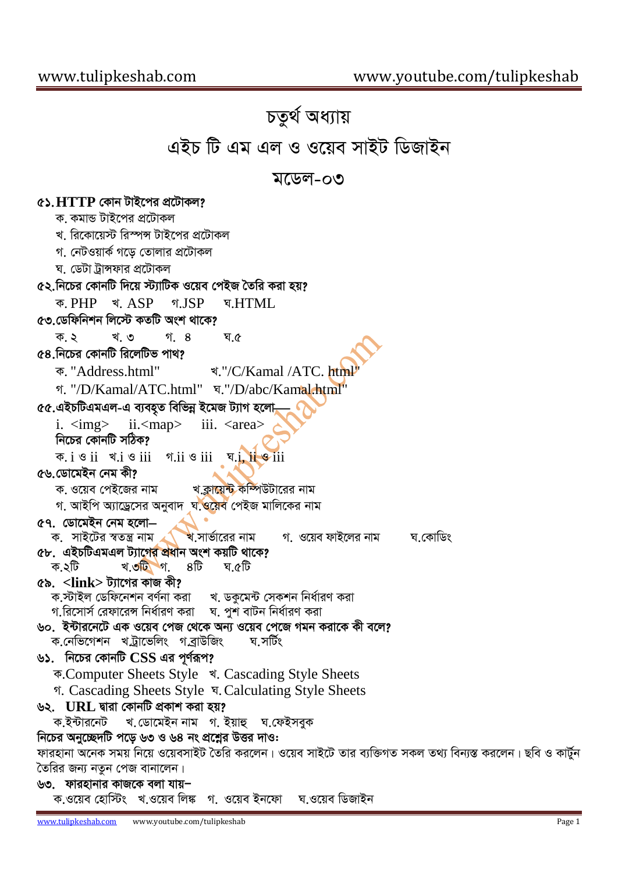## চতুৰ্থ অধ্যায় এইচ টি এম এল ও ওয়েব সাইট ডিজাইন মডেল-০৩ ৫১. HTTP কোন টাইপের প্রটোকল? ক কমান্ড টাইপের প্রটোকল খ। ৱিকোযেস্ট ৱিস্পন্স টাইপের প্রটোকল গ. নেটওয়ার্ক গড়ে তোলার প্রটোকল ঘ ডেটা টান্সফার প্রটোকল ৫২.নিচের কোনটি দিয়ে স্ট্যাটিক ওয়েব পেইজ তৈরি করা হয়? क PHP श ASP গ ISP **v** HTML ৫৩ ডেফিনিশন লিস্টে কতটি অংশ থাকে? ด<sub>้</sub> 8 ক ১ খ ৩ ঘ ৫ ৫৪ নিচের কোনটি রিলেটিভ পাথ?  $\frac{1}{2}$  "/C/Kamal /ATC, html ক "Address.html" গ. "/D/Kamal/ATC.html" घ."/D/abc/Kamal.html" ৫৫.এইচটিএমএল-এ ব্যবহৃত বিভিন্ন ইমেজ ট্যাগ হলো,  $i. \leq m$ g $>$  $ii<$ map $>$ iii. <area> নিচের কোনটি সঠিক?  $\overline{x}$ . i  $\overline{y}$  ii  $\overline{y}$  iii  $\overline{y}$  iii  $\overline{y}$  iii  $\overline{y}$  iii  $\overline{y}$  iii ৫৬ ডোমেইন নেম কী? ক ওয়েব পেইজের নাম খ ক্লায়েন্ট কম্পিউটারের নাম গ, আইপি অ্যাড্রেসের অনুবাদ ঘ.ওয়েব পেইজ মালিকের নাম ৫৭. ডোমেইন নেম হলো— ক. সাইটের স্বতন্ত্র নাম খ.সার্ভারের নাম গ. ওয়েব ফাইলের নাম ঘ কোডিং ৫৮. এইচটিএমএল ট্যাগের প্রধান অংশ কয়টি থাকে? ক ২টি খ**.৩টি** গ. 8টি ঘ ৫টি ৫৯.  $\langle$ link> ট্যাগের কাজ কী? ক.স্টাইল ডেফিনেশন বর্ণনা করা খ. ডকুমেন্ট সেকশন নির্ধারণ করা ৬০. ইন্টারনেটে এক ওয়েব পেজ থেকে অন্য ওয়েব পেজে গমন করাকে কী বলে? ক.নেভিগেশন খট্ৰাভেলিং গত্ৰাউজিং ঘ সৰ্টিং ৬১. নিচের কোনটি CSS এর পূর্ণরূপ? ক.Computer Sheets Style খ. Cascading Style Sheets গ. Cascading Sheets Style ম. Calculating Style Sheets ৬২. URL দ্বারা কোনটি প্রকাশ করা হয়? খ.ডোমেইন নাম গ.ইয়াহু ঘ.ফেইসবুক ক ইন্টারনেট নিচের অনুচ্ছেদটি পডে ৬৩ ও ৬৪ নং প্রশ্নের উত্তর দাও: ফারহানা অনেক সময় নিয়ে ওয়েবসাইট তৈরি করলেন। ওয়েব সাইটে তার ব্যক্তিগত সকল তথ্য বিন্যস্ত করলেন। ছবি ও কার্টুন তৈরির জন্য নতুন পেজ বানালেন।

৬৩. ফারহানার কাজকে বলা যায়– ক.ওয়েব হোস্টিং খ.ওয়েব লিঙ্ক গ. ওয়েব ইনফো ঘ ওয়েব ডিজাইন